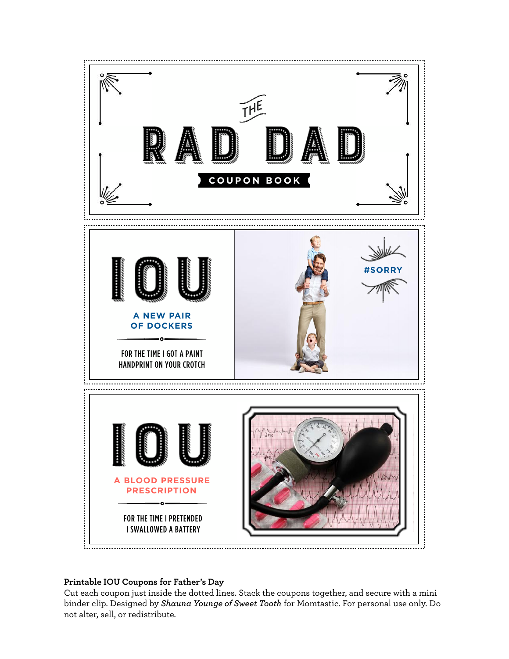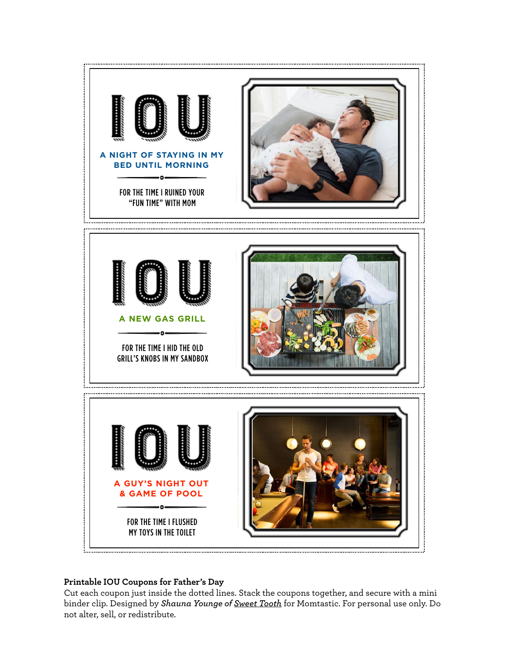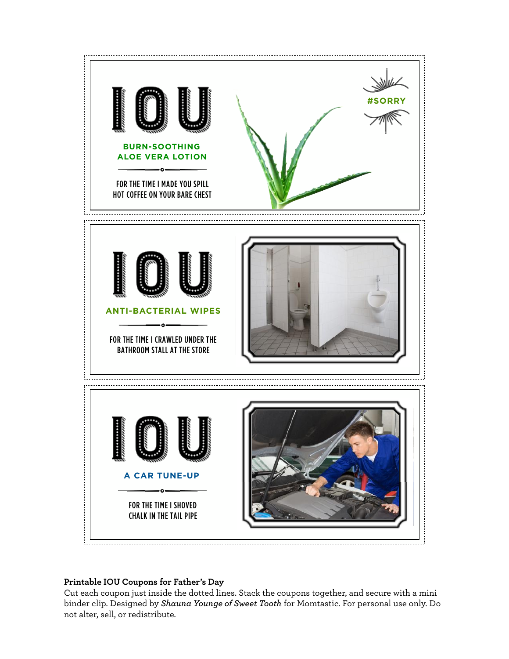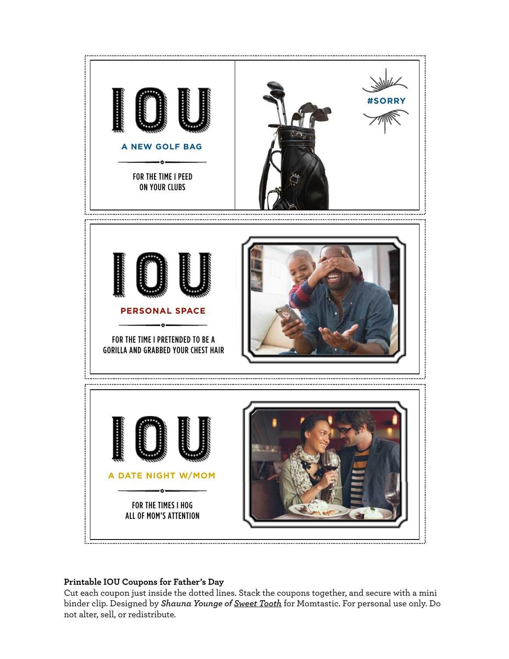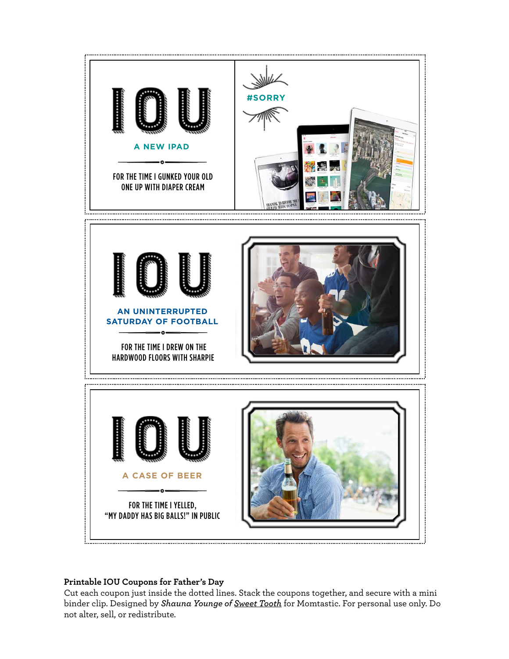